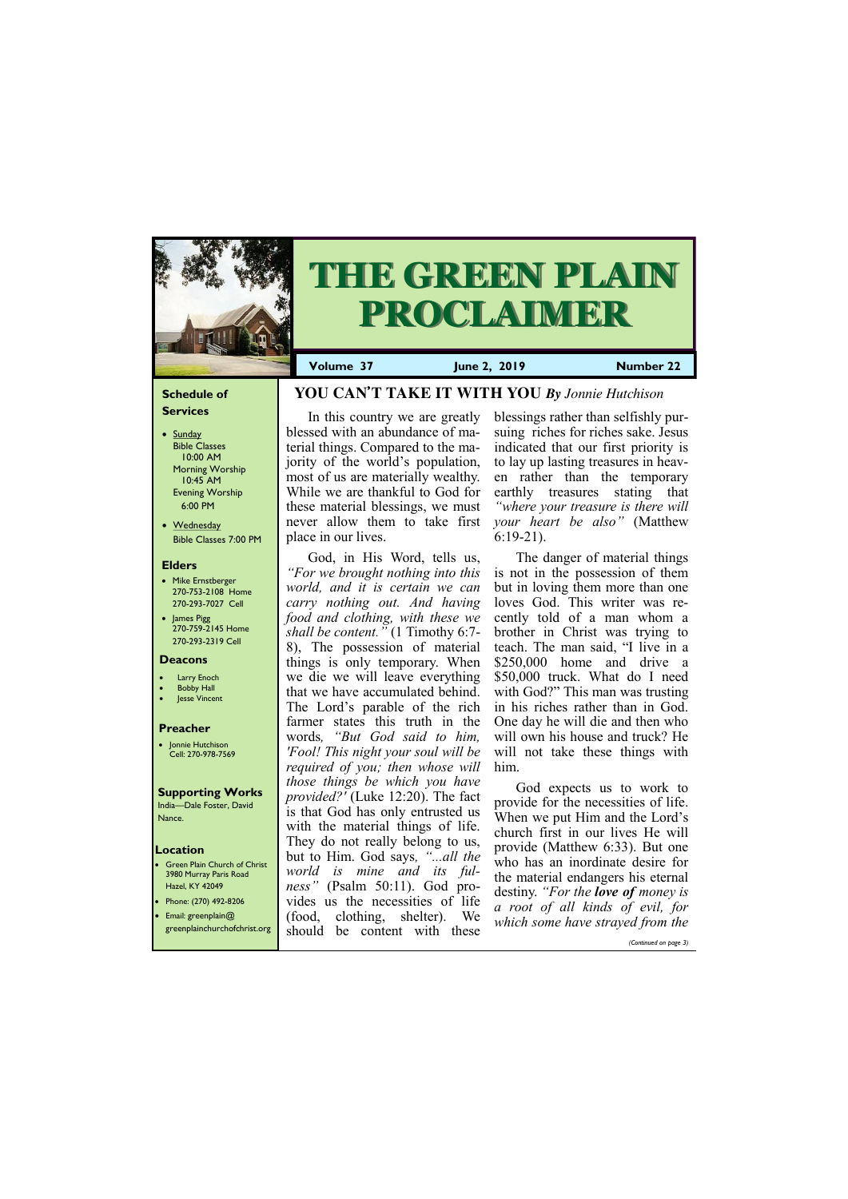# **Schedule of Services**

- Sunday Bible Classes 10:00 AM Morning Worship 10:45 AM Evening Worship 6:00 PM
- Wednesday Bible Classes 7:00 PM

#### **Elders**

- Mike Ernstberger 270-753-2108 Home 270-293-7027 Cell
- James Pigg 270-759-2145 Home 270-293-2319 Cell



# **THE GREEN PLAIN PROCLAIMER**

# **Location**

• Green Plain Church of Christ 3980 Murray Paris Road Hazel, KY 42049 • Phone: (270) 492-8206

**Volume 37 June 2, 2019 Number 22**

#### **Deacons**

- **Larry Enoch**
- **Bobby Hall**
- Jesse Vincent

# **Preacher**

• Jonnie Hutchison Cell: 270-978-7569

#### **Supporting Works** India—Dale Foster, David

Nance.

# **YOU CAN'T TAKE IT WITH YOU** *By Jonnie Hutchison*

In this country we are greatly blessed with an abundance of material things. Compared to the majority of the world's population, most of us are materially wealthy. While we are thankful to God for these material blessings, we must never allow them to take first place in our lives.

God, in His Word, tells us, *"For we brought nothing into this world, and it is certain we can carry nothing out. And having food and clothing, with these we shall be content."* (1 Timothy 6:7- 8), The possession of material things is only temporary. When we die we will leave everything that we have accumulated behind. The Lord's parable of the rich farmer states this truth in the words*, "But God said to him, 'Fool! This night your soul will be required of you; then whose will those things be which you have provided?'* (Luke 12:20). The fact is that God has only entrusted us with the material things of life. They do not really belong to us, but to Him. God says*, "...all the world is mine and its fulness"* (Psalm 50:11). God provides us the necessities of life

| Phone: (270) 472-6206<br>Email: greenplain $@$ | vides us the necessities of the<br>(food, clothing, shelter). We | <i>a root of all kinds of evil, for</i><br>which some have strayed from the |
|------------------------------------------------|------------------------------------------------------------------|-----------------------------------------------------------------------------|
| greenplainchurchofchrist.org                   | should be content with<br>these                                  |                                                                             |
|                                                |                                                                  | (Continued on page 3)                                                       |

blessings rather than selfishly pursuing riches for riches sake. Jesus indicated that our first priority is to lay up lasting treasures in heaven rather than the temporary earthly treasures stating that *"where your treasure is there will your heart be also"* (Matthew 6:19-21).

The danger of material things is not in the possession of them but in loving them more than one loves God. This writer was recently told of a man whom a brother in Christ was trying to teach. The man said, "I live in a \$250,000 home and drive a \$50,000 truck. What do I need with God?" This man was trusting in his riches rather than in God. One day he will die and then who will own his house and truck? He will not take these things with him.

God expects us to work to provide for the necessities of life. When we put Him and the Lord's church first in our lives He will provide (Matthew 6:33). But one who has an inordinate desire for the material endangers his eternal destiny. *"For the love of money is*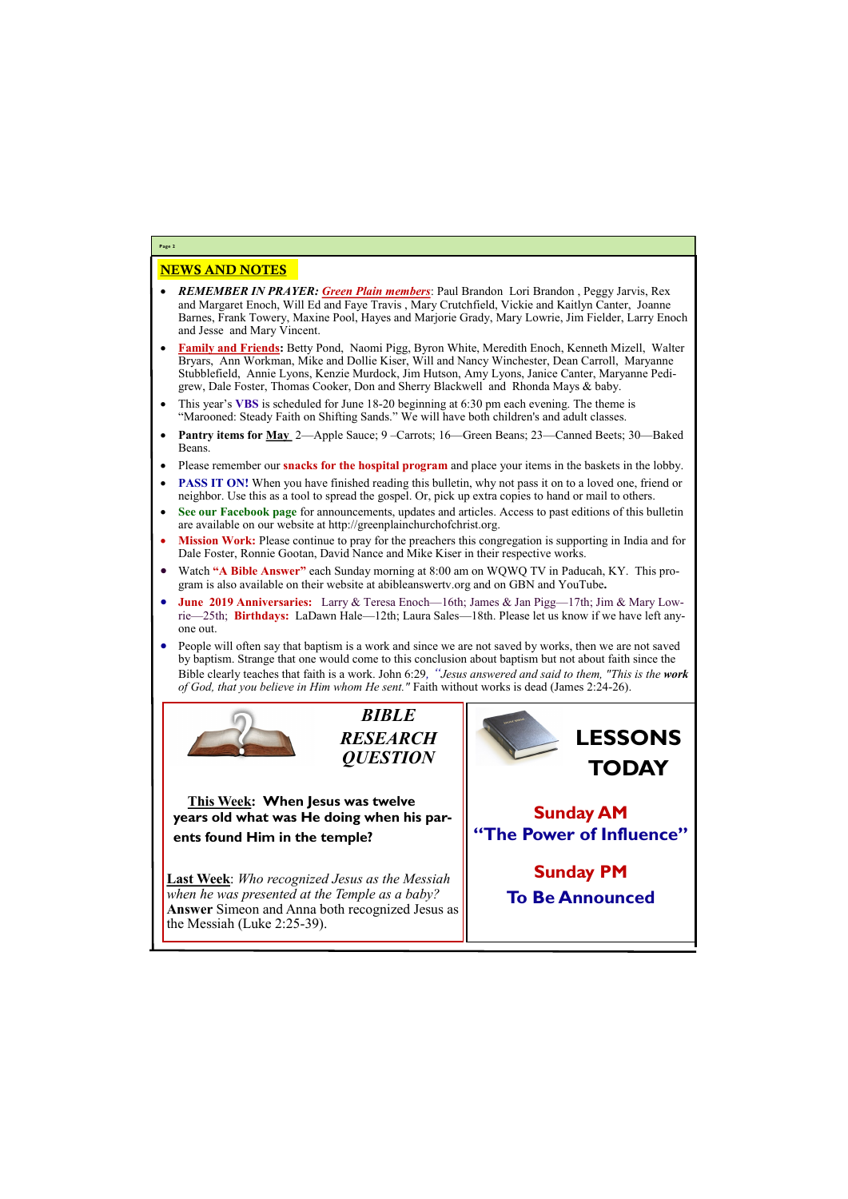# NEWS AND NOTES

- *REMEMBER IN PRAYER: Green Plain members*: Paul Brandon Lori Brandon , Peggy Jarvis, Rex and Margaret Enoch, Will Ed and Faye Travis , Mary Crutchfield, Vickie and Kaitlyn Canter, Joanne Barnes, Frank Towery, Maxine Pool, Hayes and Marjorie Grady, Mary Lowrie, Jim Fielder, Larry Enoch and Jesse and Mary Vincent.
- **Family and Friends:** Betty Pond, Naomi Pigg, Byron White, Meredith Enoch, Kenneth Mizell, Walter Bryars, Ann Workman, Mike and Dollie Kiser, Will and Nancy Winchester, Dean Carroll, Maryanne Stubblefield, Annie Lyons, Kenzie Murdock, Jim Hutson, Amy Lyons, Janice Canter, Maryanne Pedigrew, Dale Foster, Thomas Cooker, Don and Sherry Blackwell and Rhonda Mays & baby.
- This year's **VBS** is scheduled for June 18-20 beginning at 6:30 pm each evening. The theme is "Marooned: Steady Faith on Shifting Sands." We will have both children's and adult classes.
- **Pantry items for May** 2—Apple Sauce; 9 –Carrots; 16—Green Beans; 23—Canned Beets; 30—Baked Beans.
- Please remember our **snacks for the hospital program** and place your items in the baskets in the lobby.
- **PASS IT ON!** When you have finished reading this bulletin, why not pass it on to a loved one, friend or neighbor. Use this as a tool to spread the gospel. Or, pick up extra copies to hand or mail to others.
- **See our Facebook page** for announcements, updates and articles. Access to past editions of this bulletin are available on our website at http://greenplainchurchofchrist.org.
- **Mission Work:** Please continue to pray for the preachers this congregation is supporting in India and for Dale Foster, Ronnie Gootan, David Nance and Mike Kiser in their respective works.
- Watch **"A Bible Answer"** each Sunday morning at 8:00 am on WQWQ TV in Paducah, KY. This program is also available on their website at abibleanswertv.org and on GBN and YouTube**.**
- **June 2019 Anniversaries:** Larry & Teresa Enoch—16th; James & Jan Pigg—17th; Jim & Mary Lowrie—25th; **Birthdays:** LaDawn Hale—12th; Laura Sales—18th. Please let us know if we have left anyone out.
- People will often say that baptism is a work and since we are not saved by works, then we are not saved by baptism. Strange that one would come to this conclusion about baptism but not about faith since the Bible clearly teaches that faith is a work. John 6:29*, "Jesus answered and said to them, "This is the work of God, that you believe in Him whom He sent."* Faith without works is dead (James 2:24-26).



**Page 2**

*BIBLE RESEARCH QUESTION*

**This Week: When Jesus was twelve years old what was He doing when his parents found Him in the temple?**

**Last Week**: *Who recognized Jesus as the Messiah when he was presented at the Temple as a baby?* 

| <b>Answer</b> Simeon and Anna both recognized Jesus as |  |
|--------------------------------------------------------|--|
| $\vert$ the Messiah (Luke 2:25-39).                    |  |
|                                                        |  |
|                                                        |  |

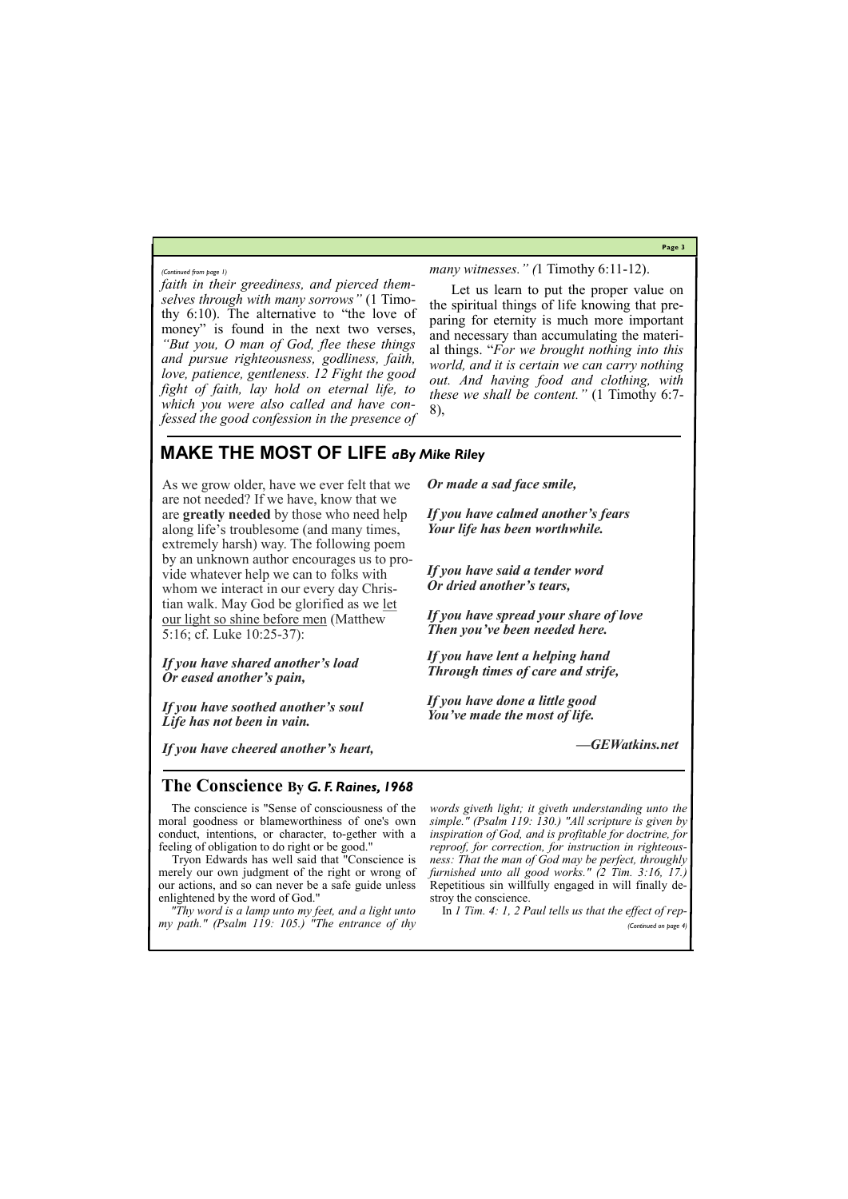**Page 3**

*faith in their greediness, and pierced themselves through with many sorrows"* (1 Timothy 6:10). The alternative to "the love of money" is found in the next two verses, *"But you, O man of God, flee these things and pursue righteousness, godliness, faith, love, patience, gentleness. 12 Fight the good fight of faith, lay hold on eternal life, to which you were also called and have confessed the good confession in the presence of*  *many witnesses." (*1 Timothy 6:11-12).

Let us learn to put the proper value on the spiritual things of life knowing that preparing for eternity is much more important and necessary than accumulating the material things. "*For we brought nothing into this world, and it is certain we can carry nothing out. And having food and clothing, with these we shall be content."* (1 Timothy 6:7- 8),

*(Continued from page 1)*

# **MAKE THE MOST OF LIFE** *aBy Mike Riley*

As we grow older, have we ever felt that we are not needed? If we have, know that we are **greatly needed** by those who need help along life's troublesome (and many times, extremely harsh) way. The following poem by an unknown author encourages us to provide whatever help we can to folks with whom we interact in our every day Christian walk. May God be glorified as we [let](https://gewatkins.net/let-our-light-so-shine-before-men/)  [our light so shine before men](https://gewatkins.net/let-our-light-so-shine-before-men/) (Matthew 5:16; cf. Luke 10:25-37):

*If you have shared another's load Or eased another's pain,*

*If you have soothed another's soul Life has not been in vain.*

*If you have cheered another's heart,*

*Or made a sad face smile,*

*If you have calmed another's fears Your life has been worthwhile.*

*If you have said a tender word Or dried another's tears,*

*If you have spread your share of love Then you've been needed here.*

*If you have lent a helping hand Through times of care and strife,*

*If you have done a little good You've made the most of life.*

*—GEWatkins.net*

# **The Conscience By** *G. F. Raines, 1968*

 The conscience is "Sense of consciousness of the moral goodness or blameworthiness of one's own conduct, intentions, or character, to-gether with a feeling of obligation to do right or be good."

 Tryon Edwards has well said that "Conscience is merely our own judgment of the right or wrong of our actions, and so can never be a safe guide unless enlightened by the word of God."

 *"Thy word is a lamp unto my feet, and a light unto my path." (Psalm 119: 105.) "The entrance of thy* 

*words giveth light; it giveth understanding unto the simple." (Psalm 119: 130.) "All scripture is given by inspiration of God, and is profitable for doctrine, for reproof, for correction, for instruction in righteousness: That the man of God may be perfect, throughly furnished unto all good works." (2 Tim. 3:16, 17.)*  Repetitious sin willfully engaged in will finally destroy the conscience.

 In *1 Tim. 4: 1, 2 Paul tells us that the effect of rep- (Continued on page 4)*